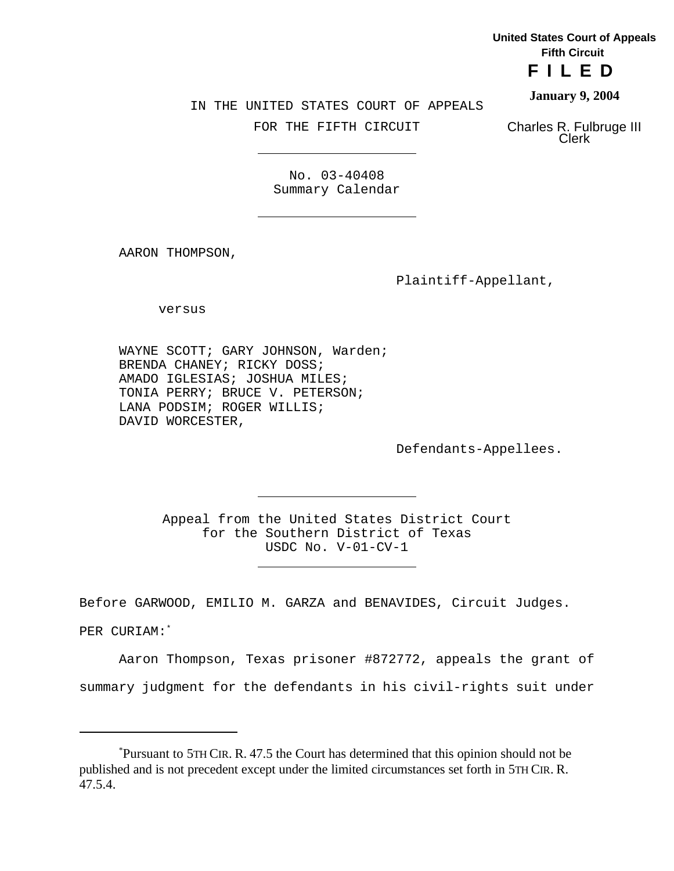**United States Court of Appeals Fifth Circuit**

**FILED**

**January 9, 2004**

IN THE UNITED STATES COURT OF APPEALS

FOR THE FIFTH CIRCUIT

Charles R. Fulbruge III Clerk

No. 03-40408 Summary Calendar

AARON THOMPSON,

Plaintiff-Appellant,

versus

WAYNE SCOTT; GARY JOHNSON, Warden; BRENDA CHANEY; RICKY DOSS; AMADO IGLESIAS; JOSHUA MILES; TONIA PERRY; BRUCE V. PETERSON; LANA PODSIM; ROGER WILLIS; DAVID WORCESTER,

J.

Defendants-Appellees.

Appeal from the United States District Court for the Southern District of Texas USDC No. V-01-CV-1

Before GARWOOD, EMILIO M. GARZA and BENAVIDES, Circuit Judges.

PER CURIAM:\*

Aaron Thompson, Texas prisoner #872772, appeals the grant of summary judgment for the defendants in his civil-rights suit under

<sup>\*</sup>Pursuant to 5TH CIR. R. 47.5 the Court has determined that this opinion should not be published and is not precedent except under the limited circumstances set forth in 5TH CIR. R. 47.5.4.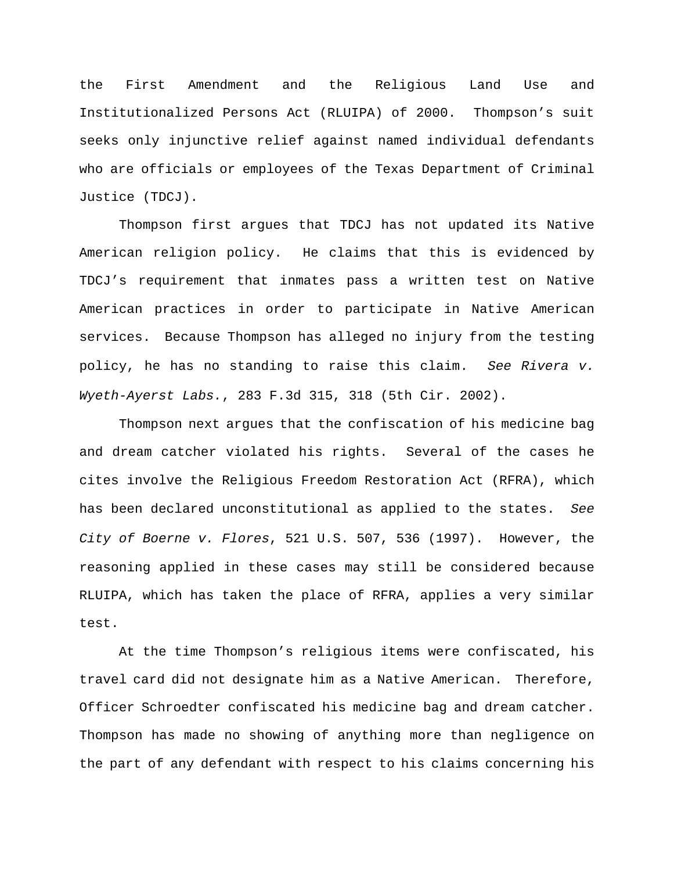the First Amendment and the Religious Land Use and Institutionalized Persons Act (RLUIPA) of 2000. Thompson's suit seeks only injunctive relief against named individual defendants who are officials or employees of the Texas Department of Criminal Justice (TDCJ).

Thompson first argues that TDCJ has not updated its Native American religion policy. He claims that this is evidenced by TDCJ's requirement that inmates pass a written test on Native American practices in order to participate in Native American services. Because Thompson has alleged no injury from the testing policy, he has no standing to raise this claim. *See Rivera v. Wyeth-Ayerst Labs.*, 283 F.3d 315, 318 (5th Cir. 2002).

Thompson next argues that the confiscation of his medicine bag and dream catcher violated his rights. Several of the cases he cites involve the Religious Freedom Restoration Act (RFRA), which has been declared unconstitutional as applied to the states. *See City of Boerne v. Flores*, 521 U.S. 507, 536 (1997). However, the reasoning applied in these cases may still be considered because RLUIPA, which has taken the place of RFRA, applies a very similar test.

At the time Thompson's religious items were confiscated, his travel card did not designate him as a Native American. Therefore, Officer Schroedter confiscated his medicine bag and dream catcher. Thompson has made no showing of anything more than negligence on the part of any defendant with respect to his claims concerning his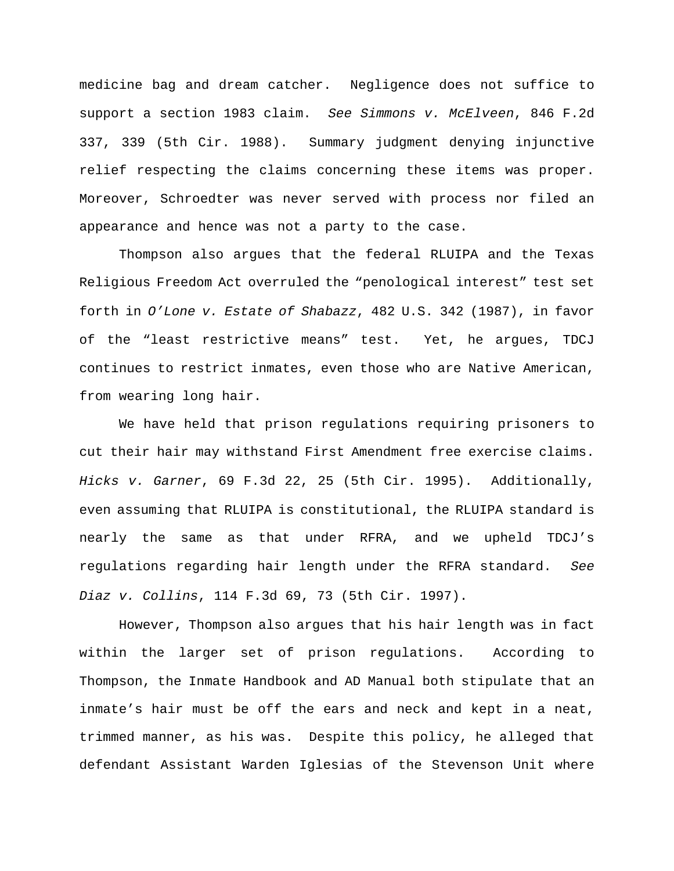medicine bag and dream catcher. Negligence does not suffice to support a section 1983 claim. *See Simmons v. McElveen*, 846 F.2d 337, 339 (5th Cir. 1988). Summary judgment denying injunctive relief respecting the claims concerning these items was proper. Moreover, Schroedter was never served with process nor filed an appearance and hence was not a party to the case.

Thompson also argues that the federal RLUIPA and the Texas Religious Freedom Act overruled the "penological interest" test set forth in *O'Lone v. Estate of Shabazz*, 482 U.S. 342 (1987), in favor of the "least restrictive means" test. Yet, he argues, TDCJ continues to restrict inmates, even those who are Native American, from wearing long hair.

We have held that prison regulations requiring prisoners to cut their hair may withstand First Amendment free exercise claims. *Hicks v. Garner*, 69 F.3d 22, 25 (5th Cir. 1995). Additionally, even assuming that RLUIPA is constitutional, the RLUIPA standard is nearly the same as that under RFRA, and we upheld TDCJ's regulations regarding hair length under the RFRA standard. *See Diaz v. Collins*, 114 F.3d 69, 73 (5th Cir. 1997).

However, Thompson also argues that his hair length was in fact within the larger set of prison regulations. According to Thompson, the Inmate Handbook and AD Manual both stipulate that an inmate's hair must be off the ears and neck and kept in a neat, trimmed manner, as his was. Despite this policy, he alleged that defendant Assistant Warden Iglesias of the Stevenson Unit where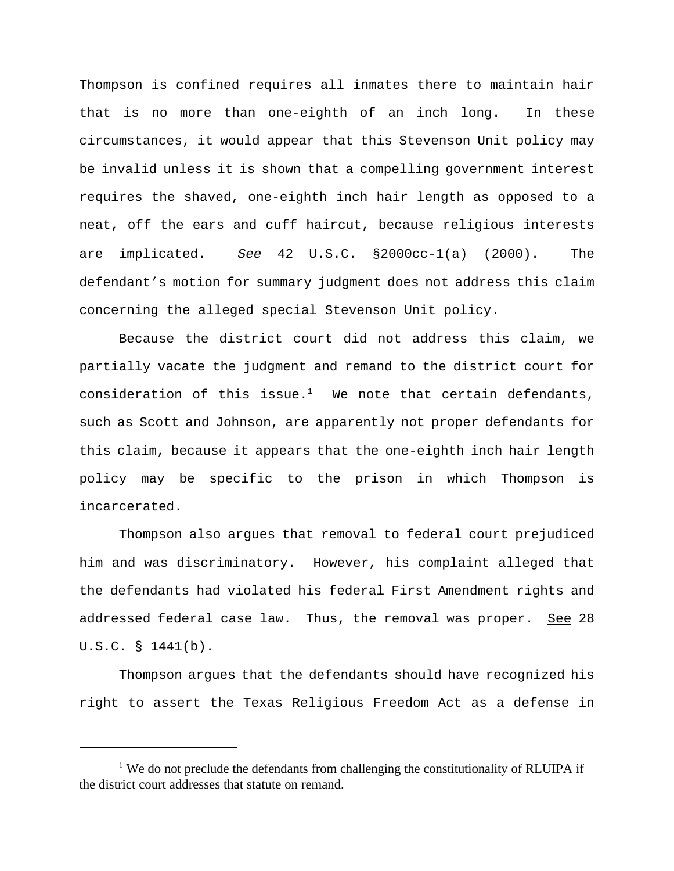Thompson is confined requires all inmates there to maintain hair that is no more than one-eighth of an inch long. In these circumstances, it would appear that this Stevenson Unit policy may be invalid unless it is shown that a compelling government interest requires the shaved, one-eighth inch hair length as opposed to a neat, off the ears and cuff haircut, because religious interests are implicated. *See* 42 U.S.C. §2000cc-1(a) (2000). The defendant's motion for summary judgment does not address this claim concerning the alleged special Stevenson Unit policy.

Because the district court did not address this claim, we partially vacate the judgment and remand to the district court for consideration of this issue.<sup>1</sup> We note that certain defendants, such as Scott and Johnson, are apparently not proper defendants for this claim, because it appears that the one-eighth inch hair length policy may be specific to the prison in which Thompson is incarcerated.

Thompson also argues that removal to federal court prejudiced him and was discriminatory. However, his complaint alleged that the defendants had violated his federal First Amendment rights and addressed federal case law. Thus, the removal was proper. See 28 U.S.C. § 1441(b).

Thompson argues that the defendants should have recognized his right to assert the Texas Religious Freedom Act as a defense in

<sup>&</sup>lt;sup>1</sup> We do not preclude the defendants from challenging the constitutionality of RLUIPA if the district court addresses that statute on remand.